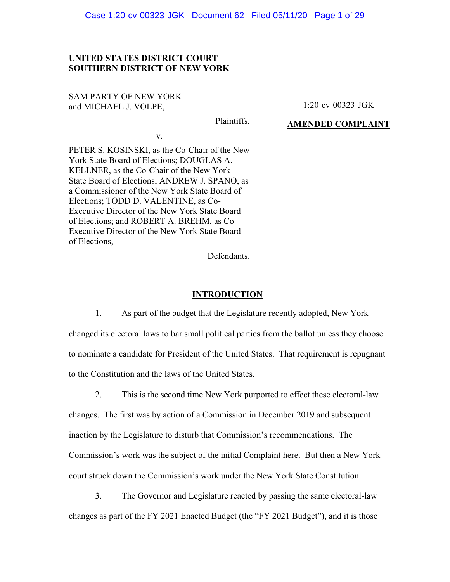### **UNITED STATES DISTRICT COURT SOUTHERN DISTRICT OF NEW YORK**

SAM PARTY OF NEW YORK and MICHAEL J. VOLPE, 1:20-cv-00323-JGK

# Plaintiffs, **AMENDED COMPLAINT**

PETER S. KOSINSKI, as the Co-Chair of the New York State Board of Elections; DOUGLAS A. KELLNER, as the Co-Chair of the New York State Board of Elections; ANDREW J. SPANO, as a Commissioner of the New York State Board of Elections; TODD D. VALENTINE, as Co-Executive Director of the New York State Board of Elections; and ROBERT A. BREHM, as Co-Executive Director of the New York State Board of Elections,

v.

Defendants.

### **INTRODUCTION**

1. As part of the budget that the Legislature recently adopted, New York changed its electoral laws to bar small political parties from the ballot unless they choose to nominate a candidate for President of the United States. That requirement is repugnant to the Constitution and the laws of the United States.

2. This is the second time New York purported to effect these electoral-law changes. The first was by action of a Commission in December 2019 and subsequent inaction by the Legislature to disturb that Commission's recommendations. The Commission's work was the subject of the initial Complaint here. But then a New York court struck down the Commission's work under the New York State Constitution.

3. The Governor and Legislature reacted by passing the same electoral-law changes as part of the FY 2021 Enacted Budget (the "FY 2021 Budget"), and it is those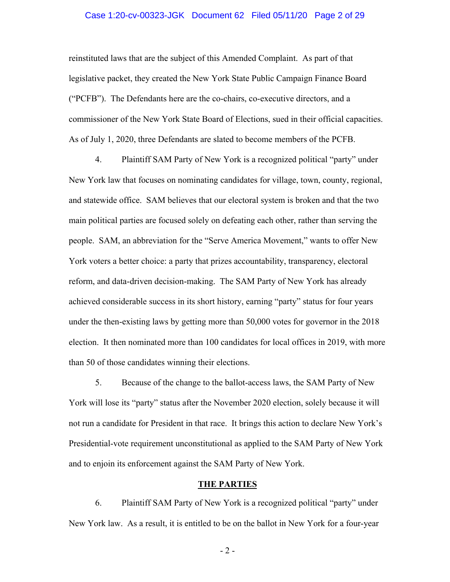#### Case 1:20-cv-00323-JGK Document 62 Filed 05/11/20 Page 2 of 29

reinstituted laws that are the subject of this Amended Complaint. As part of that legislative packet, they created the New York State Public Campaign Finance Board ("PCFB"). The Defendants here are the co-chairs, co-executive directors, and a commissioner of the New York State Board of Elections, sued in their official capacities. As of July 1, 2020, three Defendants are slated to become members of the PCFB.

4. Plaintiff SAM Party of New York is a recognized political "party" under New York law that focuses on nominating candidates for village, town, county, regional, and statewide office. SAM believes that our electoral system is broken and that the two main political parties are focused solely on defeating each other, rather than serving the people. SAM, an abbreviation for the "Serve America Movement," wants to offer New York voters a better choice: a party that prizes accountability, transparency, electoral reform, and data-driven decision-making. The SAM Party of New York has already achieved considerable success in its short history, earning "party" status for four years under the then-existing laws by getting more than 50,000 votes for governor in the 2018 election. It then nominated more than 100 candidates for local offices in 2019, with more than 50 of those candidates winning their elections.

5. Because of the change to the ballot-access laws, the SAM Party of New York will lose its "party" status after the November 2020 election, solely because it will not run a candidate for President in that race. It brings this action to declare New York's Presidential-vote requirement unconstitutional as applied to the SAM Party of New York and to enjoin its enforcement against the SAM Party of New York.

#### **THE PARTIES**

6. Plaintiff SAM Party of New York is a recognized political "party" under New York law. As a result, it is entitled to be on the ballot in New York for a four-year

- 2 -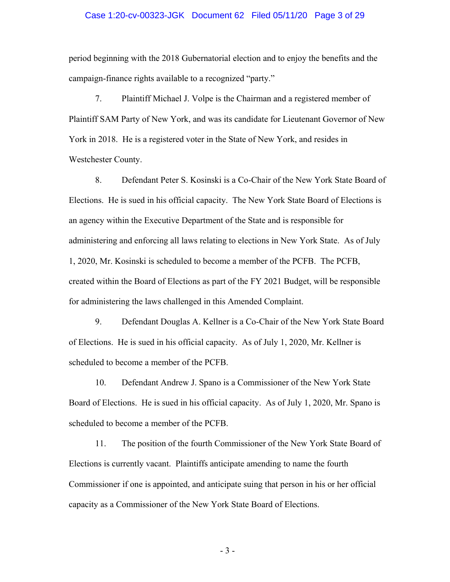### Case 1:20-cv-00323-JGK Document 62 Filed 05/11/20 Page 3 of 29

period beginning with the 2018 Gubernatorial election and to enjoy the benefits and the campaign-finance rights available to a recognized "party."

7. Plaintiff Michael J. Volpe is the Chairman and a registered member of Plaintiff SAM Party of New York, and was its candidate for Lieutenant Governor of New York in 2018. He is a registered voter in the State of New York, and resides in Westchester County.

8. Defendant Peter S. Kosinski is a Co-Chair of the New York State Board of Elections. He is sued in his official capacity. The New York State Board of Elections is an agency within the Executive Department of the State and is responsible for administering and enforcing all laws relating to elections in New York State. As of July 1, 2020, Mr. Kosinski is scheduled to become a member of the PCFB. The PCFB, created within the Board of Elections as part of the FY 2021 Budget, will be responsible for administering the laws challenged in this Amended Complaint.

9. Defendant Douglas A. Kellner is a Co-Chair of the New York State Board of Elections. He is sued in his official capacity. As of July 1, 2020, Mr. Kellner is scheduled to become a member of the PCFB.

10. Defendant Andrew J. Spano is a Commissioner of the New York State Board of Elections. He is sued in his official capacity. As of July 1, 2020, Mr. Spano is scheduled to become a member of the PCFB.

11. The position of the fourth Commissioner of the New York State Board of Elections is currently vacant. Plaintiffs anticipate amending to name the fourth Commissioner if one is appointed, and anticipate suing that person in his or her official capacity as a Commissioner of the New York State Board of Elections.

- 3 -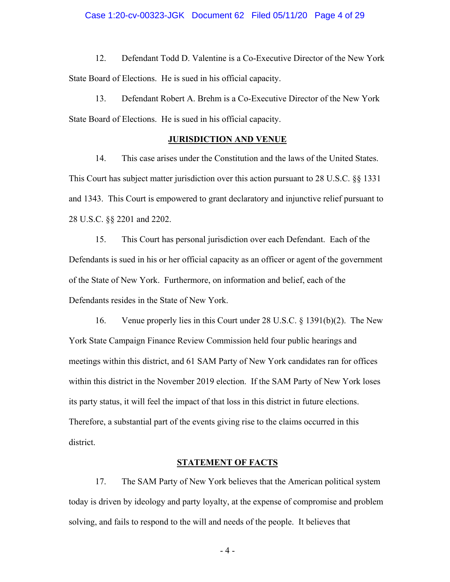12. Defendant Todd D. Valentine is a Co-Executive Director of the New York State Board of Elections. He is sued in his official capacity.

13. Defendant Robert A. Brehm is a Co-Executive Director of the New York State Board of Elections. He is sued in his official capacity.

### **JURISDICTION AND VENUE**

14. This case arises under the Constitution and the laws of the United States. This Court has subject matter jurisdiction over this action pursuant to 28 U.S.C. §§ 1331 and 1343. This Court is empowered to grant declaratory and injunctive relief pursuant to 28 U.S.C. §§ 2201 and 2202.

15. This Court has personal jurisdiction over each Defendant. Each of the Defendants is sued in his or her official capacity as an officer or agent of the government of the State of New York. Furthermore, on information and belief, each of the Defendants resides in the State of New York.

16. Venue properly lies in this Court under 28 U.S.C. § 1391(b)(2). The New York State Campaign Finance Review Commission held four public hearings and meetings within this district, and 61 SAM Party of New York candidates ran for offices within this district in the November 2019 election. If the SAM Party of New York loses its party status, it will feel the impact of that loss in this district in future elections. Therefore, a substantial part of the events giving rise to the claims occurred in this district.

### **STATEMENT OF FACTS**

17. The SAM Party of New York believes that the American political system today is driven by ideology and party loyalty, at the expense of compromise and problem solving, and fails to respond to the will and needs of the people. It believes that

- 4 -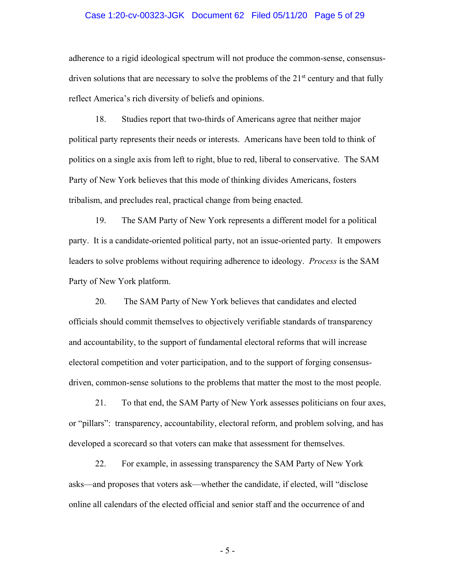### Case 1:20-cv-00323-JGK Document 62 Filed 05/11/20 Page 5 of 29

adherence to a rigid ideological spectrum will not produce the common-sense, consensusdriven solutions that are necessary to solve the problems of the  $21<sup>st</sup>$  century and that fully reflect America's rich diversity of beliefs and opinions.

18. Studies report that two-thirds of Americans agree that neither major political party represents their needs or interests. Americans have been told to think of politics on a single axis from left to right, blue to red, liberal to conservative. The SAM Party of New York believes that this mode of thinking divides Americans, fosters tribalism, and precludes real, practical change from being enacted.

19. The SAM Party of New York represents a different model for a political party. It is a candidate-oriented political party, not an issue-oriented party. It empowers leaders to solve problems without requiring adherence to ideology. *Process* is the SAM Party of New York platform.

20. The SAM Party of New York believes that candidates and elected officials should commit themselves to objectively verifiable standards of transparency and accountability, to the support of fundamental electoral reforms that will increase electoral competition and voter participation, and to the support of forging consensusdriven, common-sense solutions to the problems that matter the most to the most people.

21. To that end, the SAM Party of New York assesses politicians on four axes, or "pillars": transparency, accountability, electoral reform, and problem solving, and has developed a scorecard so that voters can make that assessment for themselves.

22. For example, in assessing transparency the SAM Party of New York asks—and proposes that voters ask—whether the candidate, if elected, will "disclose online all calendars of the elected official and senior staff and the occurrence of and

- 5 -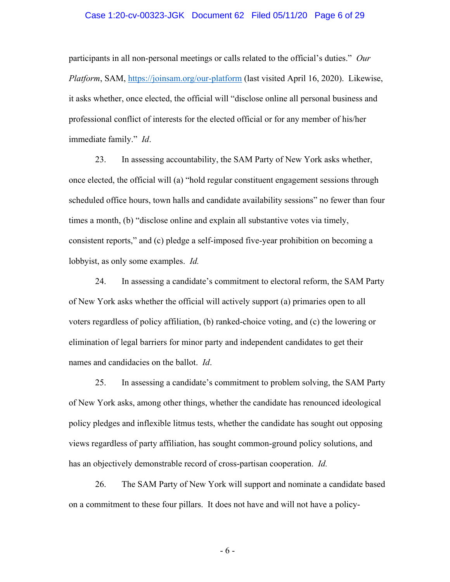### Case 1:20-cv-00323-JGK Document 62 Filed 05/11/20 Page 6 of 29

participants in all non-personal meetings or calls related to the official's duties." *Our Platform*, SAM, https://joinsam.org/our-platform (last visited April 16, 2020). Likewise, it asks whether, once elected, the official will "disclose online all personal business and professional conflict of interests for the elected official or for any member of his/her immediate family." *Id*.

23. In assessing accountability, the SAM Party of New York asks whether, once elected, the official will (a) "hold regular constituent engagement sessions through scheduled office hours, town halls and candidate availability sessions" no fewer than four times a month, (b) "disclose online and explain all substantive votes via timely, consistent reports," and (c) pledge a self-imposed five-year prohibition on becoming a lobbyist, as only some examples. *Id.*

24. In assessing a candidate's commitment to electoral reform, the SAM Party of New York asks whether the official will actively support (a) primaries open to all voters regardless of policy affiliation, (b) ranked-choice voting, and (c) the lowering or elimination of legal barriers for minor party and independent candidates to get their names and candidacies on the ballot. *Id*.

25. In assessing a candidate's commitment to problem solving, the SAM Party of New York asks, among other things, whether the candidate has renounced ideological policy pledges and inflexible litmus tests, whether the candidate has sought out opposing views regardless of party affiliation, has sought common-ground policy solutions, and has an objectively demonstrable record of cross-partisan cooperation. *Id.*

26. The SAM Party of New York will support and nominate a candidate based on a commitment to these four pillars. It does not have and will not have a policy-

- 6 -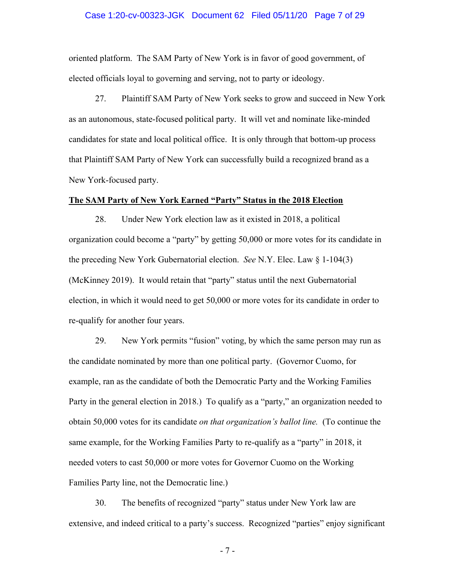### Case 1:20-cv-00323-JGK Document 62 Filed 05/11/20 Page 7 of 29

oriented platform. The SAM Party of New York is in favor of good government, of elected officials loyal to governing and serving, not to party or ideology.

27. Plaintiff SAM Party of New York seeks to grow and succeed in New York as an autonomous, state-focused political party. It will vet and nominate like-minded candidates for state and local political office. It is only through that bottom-up process that Plaintiff SAM Party of New York can successfully build a recognized brand as a New York-focused party.

### **The SAM Party of New York Earned "Party" Status in the 2018 Election**

28. Under New York election law as it existed in 2018, a political organization could become a "party" by getting 50,000 or more votes for its candidate in the preceding New York Gubernatorial election. *See* N.Y. Elec. Law § 1-104(3) (McKinney 2019). It would retain that "party" status until the next Gubernatorial election, in which it would need to get 50,000 or more votes for its candidate in order to re-qualify for another four years.

29. New York permits "fusion" voting, by which the same person may run as the candidate nominated by more than one political party. (Governor Cuomo, for example, ran as the candidate of both the Democratic Party and the Working Families Party in the general election in 2018.) To qualify as a "party," an organization needed to obtain 50,000 votes for its candidate *on that organization's ballot line.* (To continue the same example, for the Working Families Party to re-qualify as a "party" in 2018, it needed voters to cast 50,000 or more votes for Governor Cuomo on the Working Families Party line, not the Democratic line.)

30. The benefits of recognized "party" status under New York law are extensive, and indeed critical to a party's success. Recognized "parties" enjoy significant

- 7 -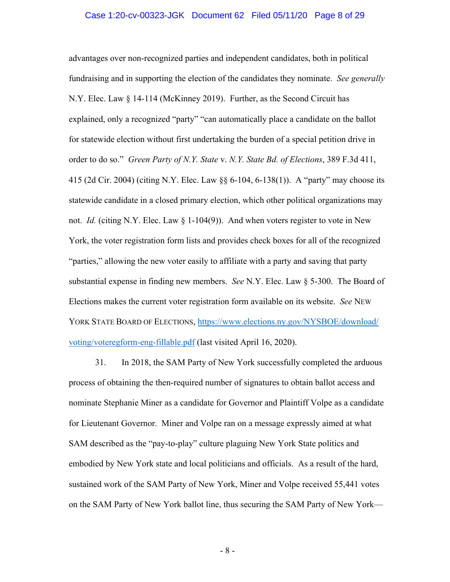### Case 1:20-cv-00323-JGK Document 62 Filed 05/11/20 Page 8 of 29

advantages over non-recognized parties and independent candidates, both in political fundraising and in supporting the election of the candidates they nominate. *See generally*  N.Y. Elec. Law § 14-114 (McKinney 2019). Further, as the Second Circuit has explained, only a recognized "party" "can automatically place a candidate on the ballot for statewide election without first undertaking the burden of a special petition drive in order to do so." *Green Party of N.Y. State* v. *N.Y. State Bd. of Elections*, 389 F.3d 411, 415 (2d Cir. 2004) (citing N.Y. Elec. Law §§ 6-104, 6-138(1)). A "party" may choose its statewide candidate in a closed primary election, which other political organizations may not. *Id.* (citing N.Y. Elec. Law § 1-104(9)). And when voters register to vote in New York, the voter registration form lists and provides check boxes for all of the recognized "parties," allowing the new voter easily to affiliate with a party and saving that party substantial expense in finding new members. *See* N.Y. Elec. Law § 5-300. The Board of Elections makes the current voter registration form available on its website. *See* NEW YORK STATE BOARD OF ELECTIONS, https://www.elections.ny.gov/NYSBOE/download/ voting/voteregform-eng-fillable.pdf (last visited April 16, 2020).

31. In 2018, the SAM Party of New York successfully completed the arduous process of obtaining the then-required number of signatures to obtain ballot access and nominate Stephanie Miner as a candidate for Governor and Plaintiff Volpe as a candidate for Lieutenant Governor. Miner and Volpe ran on a message expressly aimed at what SAM described as the "pay-to-play" culture plaguing New York State politics and embodied by New York state and local politicians and officials. As a result of the hard, sustained work of the SAM Party of New York, Miner and Volpe received 55,441 votes on the SAM Party of New York ballot line, thus securing the SAM Party of New York—

- 8 -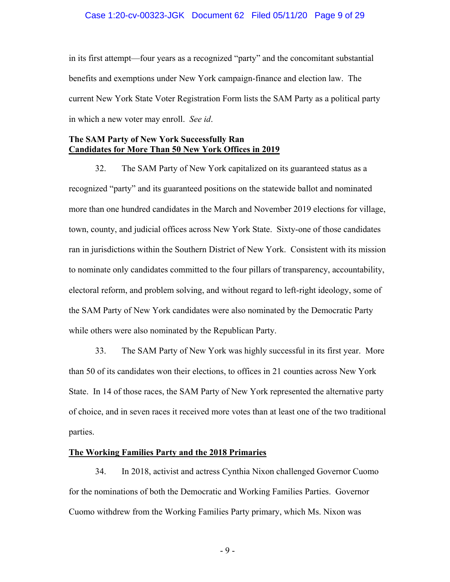### Case 1:20-cv-00323-JGK Document 62 Filed 05/11/20 Page 9 of 29

in its first attempt—four years as a recognized "party" and the concomitant substantial benefits and exemptions under New York campaign-finance and election law. The current New York State Voter Registration Form lists the SAM Party as a political party in which a new voter may enroll. *See id*.

### **The SAM Party of New York Successfully Ran Candidates for More Than 50 New York Offices in 2019**

32. The SAM Party of New York capitalized on its guaranteed status as a recognized "party" and its guaranteed positions on the statewide ballot and nominated more than one hundred candidates in the March and November 2019 elections for village, town, county, and judicial offices across New York State. Sixty-one of those candidates ran in jurisdictions within the Southern District of New York. Consistent with its mission to nominate only candidates committed to the four pillars of transparency, accountability, electoral reform, and problem solving, and without regard to left-right ideology, some of the SAM Party of New York candidates were also nominated by the Democratic Party while others were also nominated by the Republican Party.

33. The SAM Party of New York was highly successful in its first year. More than 50 of its candidates won their elections, to offices in 21 counties across New York State. In 14 of those races, the SAM Party of New York represented the alternative party of choice, and in seven races it received more votes than at least one of the two traditional parties.

### **The Working Families Party and the 2018 Primaries**

34. In 2018, activist and actress Cynthia Nixon challenged Governor Cuomo for the nominations of both the Democratic and Working Families Parties. Governor Cuomo withdrew from the Working Families Party primary, which Ms. Nixon was

- 9 -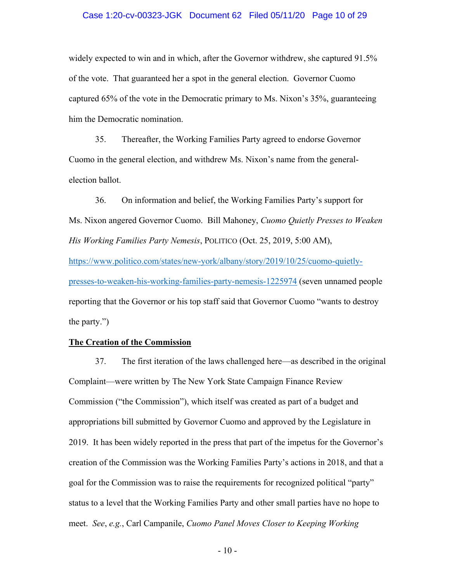### Case 1:20-cv-00323-JGK Document 62 Filed 05/11/20 Page 10 of 29

widely expected to win and in which, after the Governor withdrew, she captured 91.5% of the vote. That guaranteed her a spot in the general election. Governor Cuomo captured 65% of the vote in the Democratic primary to Ms. Nixon's 35%, guaranteeing him the Democratic nomination.

35. Thereafter, the Working Families Party agreed to endorse Governor Cuomo in the general election, and withdrew Ms. Nixon's name from the generalelection ballot.

36. On information and belief, the Working Families Party's support for Ms. Nixon angered Governor Cuomo. Bill Mahoney, *Cuomo Quietly Presses to Weaken His Working Families Party Nemesis*, POLITICO (Oct. 25, 2019, 5:00 AM), https://www.politico.com/states/new-york/albany/story/2019/10/25/cuomo-quietlypresses-to-weaken-his-working-families-party-nemesis-1225974 (seven unnamed people reporting that the Governor or his top staff said that Governor Cuomo "wants to destroy the party.")

### **The Creation of the Commission**

37. The first iteration of the laws challenged here—as described in the original Complaint—were written by The New York State Campaign Finance Review Commission ("the Commission"), which itself was created as part of a budget and appropriations bill submitted by Governor Cuomo and approved by the Legislature in 2019. It has been widely reported in the press that part of the impetus for the Governor's creation of the Commission was the Working Families Party's actions in 2018, and that a goal for the Commission was to raise the requirements for recognized political "party" status to a level that the Working Families Party and other small parties have no hope to meet. *See*, *e.g.*, Carl Campanile, *Cuomo Panel Moves Closer to Keeping Working*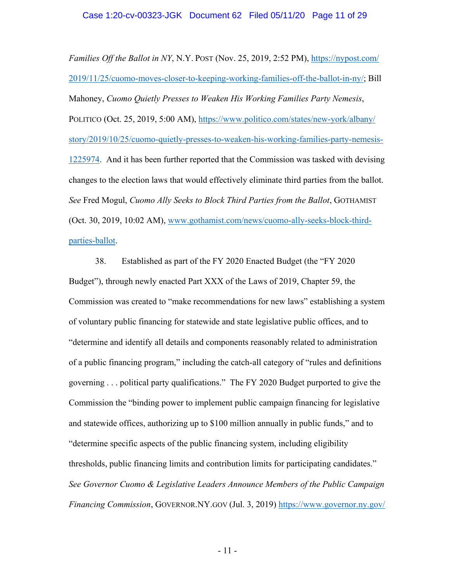*Families Off the Ballot in NY*, N.Y. POST (Nov. 25, 2019, 2:52 PM), https://nypost.com/ 2019/11/25/cuomo-moves-closer-to-keeping-working-families-off-the-ballot-in-ny/; Bill Mahoney, *Cuomo Quietly Presses to Weaken His Working Families Party Nemesis*, POLITICO (Oct. 25, 2019, 5:00 AM), https://www.politico.com/states/new-york/albany/ story/2019/10/25/cuomo-quietly-presses-to-weaken-his-working-families-party-nemesis-1225974. And it has been further reported that the Commission was tasked with devising changes to the election laws that would effectively eliminate third parties from the ballot. *See* Fred Mogul, *Cuomo Ally Seeks to Block Third Parties from the Ballot*, GOTHAMIST (Oct. 30, 2019, 10:02 AM), www.gothamist.com/news/cuomo-ally-seeks-block-thirdparties-ballot.

38. Established as part of the FY 2020 Enacted Budget (the "FY 2020 Budget"), through newly enacted Part XXX of the Laws of 2019, Chapter 59, the Commission was created to "make recommendations for new laws" establishing a system of voluntary public financing for statewide and state legislative public offices, and to "determine and identify all details and components reasonably related to administration of a public financing program," including the catch-all category of "rules and definitions governing . . . political party qualifications." The FY 2020 Budget purported to give the Commission the "binding power to implement public campaign financing for legislative and statewide offices, authorizing up to \$100 million annually in public funds," and to "determine specific aspects of the public financing system, including eligibility thresholds, public financing limits and contribution limits for participating candidates." *See Governor Cuomo & Legislative Leaders Announce Members of the Public Campaign Financing Commission, GOVERNOR.NY.GOV (Jul. 3, 2019)* https://www.governor.ny.gov/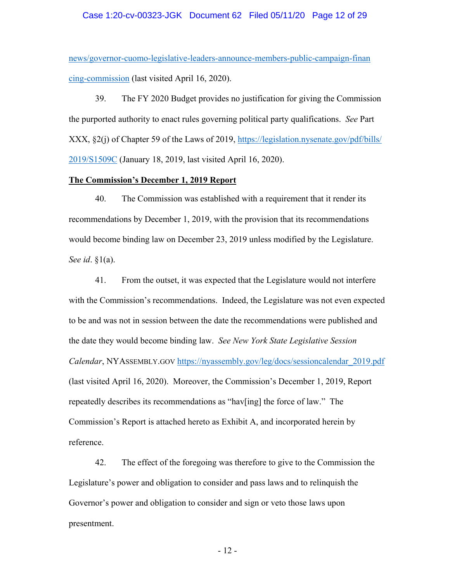### Case 1:20-cv-00323-JGK Document 62 Filed 05/11/20 Page 12 of 29

news/governor-cuomo-legislative-leaders-announce-members-public-campaign-finan cing-commission (last visited April 16, 2020).

39. The FY 2020 Budget provides no justification for giving the Commission the purported authority to enact rules governing political party qualifications. *See* Part XXX, §2(j) of Chapter 59 of the Laws of 2019, https://legislation.nysenate.gov/pdf/bills/ 2019/S1509C (January 18, 2019, last visited April 16, 2020).

### **The Commission's December 1, 2019 Report**

40. The Commission was established with a requirement that it render its recommendations by December 1, 2019, with the provision that its recommendations would become binding law on December 23, 2019 unless modified by the Legislature. *See id*. §1(a).

41. From the outset, it was expected that the Legislature would not interfere with the Commission's recommendations. Indeed, the Legislature was not even expected to be and was not in session between the date the recommendations were published and the date they would become binding law. *See New York State Legislative Session Calendar*, NYASSEMBLY.GOV https://nyassembly.gov/leg/docs/sessioncalendar\_2019.pdf (last visited April 16, 2020). Moreover, the Commission's December 1, 2019, Report repeatedly describes its recommendations as "hav[ing] the force of law." The Commission's Report is attached hereto as Exhibit A, and incorporated herein by reference.

42. The effect of the foregoing was therefore to give to the Commission the Legislature's power and obligation to consider and pass laws and to relinquish the Governor's power and obligation to consider and sign or veto those laws upon presentment.

- 12 -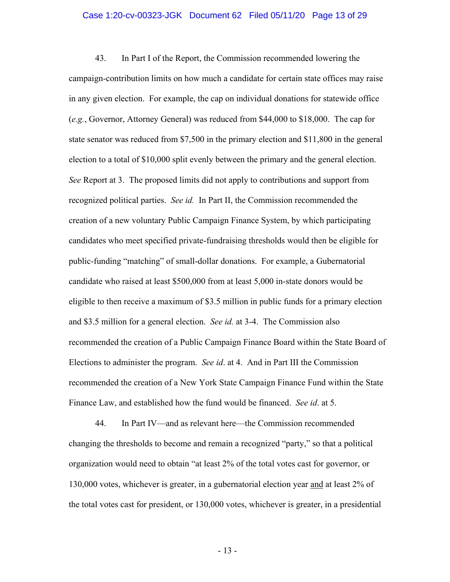# Case 1:20-cv-00323-JGK Document 62 Filed 05/11/20 Page 13 of 29

43. In Part I of the Report, the Commission recommended lowering the campaign-contribution limits on how much a candidate for certain state offices may raise in any given election. For example, the cap on individual donations for statewide office (*e.g.*, Governor, Attorney General) was reduced from \$44,000 to \$18,000. The cap for state senator was reduced from \$7,500 in the primary election and \$11,800 in the general election to a total of \$10,000 split evenly between the primary and the general election. *See* Report at 3. The proposed limits did not apply to contributions and support from recognized political parties. *See id.* In Part II, the Commission recommended the creation of a new voluntary Public Campaign Finance System, by which participating candidates who meet specified private-fundraising thresholds would then be eligible for public-funding "matching" of small-dollar donations. For example, a Gubernatorial candidate who raised at least \$500,000 from at least 5,000 in-state donors would be eligible to then receive a maximum of \$3.5 million in public funds for a primary election and \$3.5 million for a general election. *See id.* at 3-4. The Commission also recommended the creation of a Public Campaign Finance Board within the State Board of Elections to administer the program. *See id*. at 4. And in Part III the Commission recommended the creation of a New York State Campaign Finance Fund within the State Finance Law, and established how the fund would be financed. *See id*. at 5.

44. In Part IV—and as relevant here—the Commission recommended changing the thresholds to become and remain a recognized "party," so that a political organization would need to obtain "at least 2% of the total votes cast for governor, or 130,000 votes, whichever is greater, in a gubernatorial election year and at least 2% of the total votes cast for president, or 130,000 votes, whichever is greater, in a presidential

- 13 -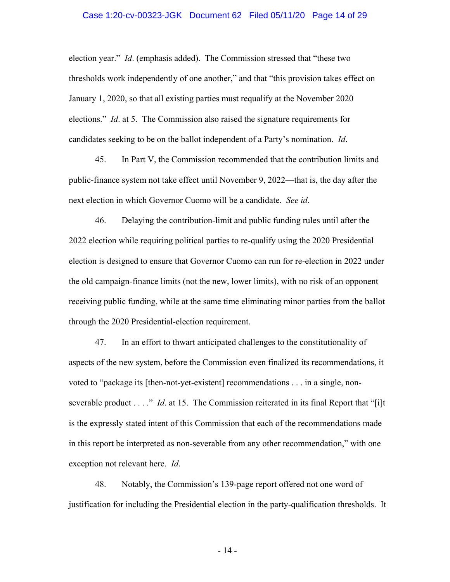# Case 1:20-cv-00323-JGK Document 62 Filed 05/11/20 Page 14 of 29

election year." *Id*. (emphasis added). The Commission stressed that "these two thresholds work independently of one another," and that "this provision takes effect on January 1, 2020, so that all existing parties must requalify at the November 2020 elections." *Id*. at 5. The Commission also raised the signature requirements for candidates seeking to be on the ballot independent of a Party's nomination. *Id*.

45. In Part V, the Commission recommended that the contribution limits and public-finance system not take effect until November 9, 2022—that is, the day after the next election in which Governor Cuomo will be a candidate. *See id*.

46. Delaying the contribution-limit and public funding rules until after the 2022 election while requiring political parties to re-qualify using the 2020 Presidential election is designed to ensure that Governor Cuomo can run for re-election in 2022 under the old campaign-finance limits (not the new, lower limits), with no risk of an opponent receiving public funding, while at the same time eliminating minor parties from the ballot through the 2020 Presidential-election requirement.

47. In an effort to thwart anticipated challenges to the constitutionality of aspects of the new system, before the Commission even finalized its recommendations, it voted to "package its [then-not-yet-existent] recommendations . . . in a single, nonseverable product . . . ." *Id*. at 15. The Commission reiterated in its final Report that "[i]t is the expressly stated intent of this Commission that each of the recommendations made in this report be interpreted as non-severable from any other recommendation," with one exception not relevant here. *Id*.

48. Notably, the Commission's 139-page report offered not one word of justification for including the Presidential election in the party-qualification thresholds. It

- 14 -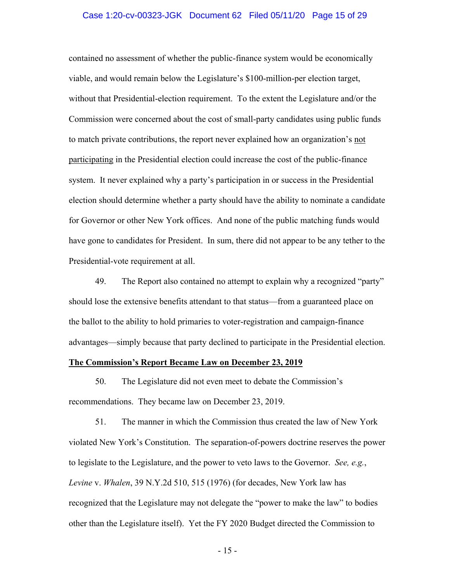### Case 1:20-cv-00323-JGK Document 62 Filed 05/11/20 Page 15 of 29

contained no assessment of whether the public-finance system would be economically viable, and would remain below the Legislature's \$100-million-per election target, without that Presidential-election requirement. To the extent the Legislature and/or the Commission were concerned about the cost of small-party candidates using public funds to match private contributions, the report never explained how an organization's not participating in the Presidential election could increase the cost of the public-finance system. It never explained why a party's participation in or success in the Presidential election should determine whether a party should have the ability to nominate a candidate for Governor or other New York offices. And none of the public matching funds would have gone to candidates for President. In sum, there did not appear to be any tether to the Presidential-vote requirement at all.

49. The Report also contained no attempt to explain why a recognized "party" should lose the extensive benefits attendant to that status—from a guaranteed place on the ballot to the ability to hold primaries to voter-registration and campaign-finance advantages—simply because that party declined to participate in the Presidential election.

### **The Commission's Report Became Law on December 23, 2019**

50. The Legislature did not even meet to debate the Commission's recommendations. They became law on December 23, 2019.

51. The manner in which the Commission thus created the law of New York violated New York's Constitution. The separation-of-powers doctrine reserves the power to legislate to the Legislature, and the power to veto laws to the Governor. *See, e.g.*, *Levine* v. *Whalen*, 39 N.Y.2d 510, 515 (1976) (for decades, New York law has recognized that the Legislature may not delegate the "power to make the law" to bodies other than the Legislature itself). Yet the FY 2020 Budget directed the Commission to

- 15 -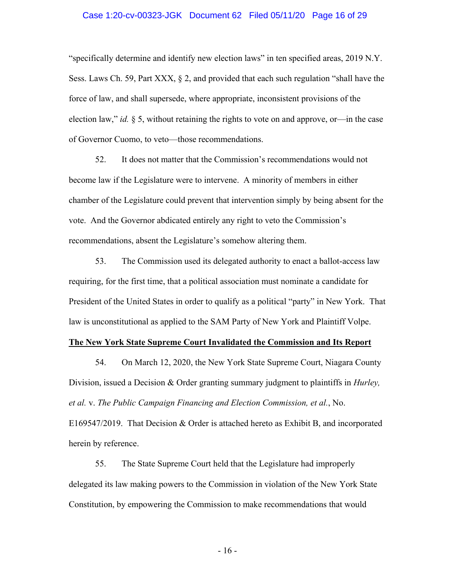### Case 1:20-cv-00323-JGK Document 62 Filed 05/11/20 Page 16 of 29

"specifically determine and identify new election laws" in ten specified areas, 2019 N.Y. Sess. Laws Ch. 59, Part XXX,  $\S 2$ , and provided that each such regulation "shall have the force of law, and shall supersede, where appropriate, inconsistent provisions of the election law," *id.* § 5, without retaining the rights to vote on and approve, or—in the case of Governor Cuomo, to veto—those recommendations.

52. It does not matter that the Commission's recommendations would not become law if the Legislature were to intervene. A minority of members in either chamber of the Legislature could prevent that intervention simply by being absent for the vote. And the Governor abdicated entirely any right to veto the Commission's recommendations, absent the Legislature's somehow altering them.

53. The Commission used its delegated authority to enact a ballot-access law requiring, for the first time, that a political association must nominate a candidate for President of the United States in order to qualify as a political "party" in New York. That law is unconstitutional as applied to the SAM Party of New York and Plaintiff Volpe.

### **The New York State Supreme Court Invalidated the Commission and Its Report**

54. On March 12, 2020, the New York State Supreme Court, Niagara County Division, issued a Decision & Order granting summary judgment to plaintiffs in *Hurley, et al.* v. *The Public Campaign Financing and Election Commission, et al.*, No. E169547/2019. That Decision & Order is attached hereto as Exhibit B, and incorporated herein by reference.

55. The State Supreme Court held that the Legislature had improperly delegated its law making powers to the Commission in violation of the New York State Constitution, by empowering the Commission to make recommendations that would

- 16 -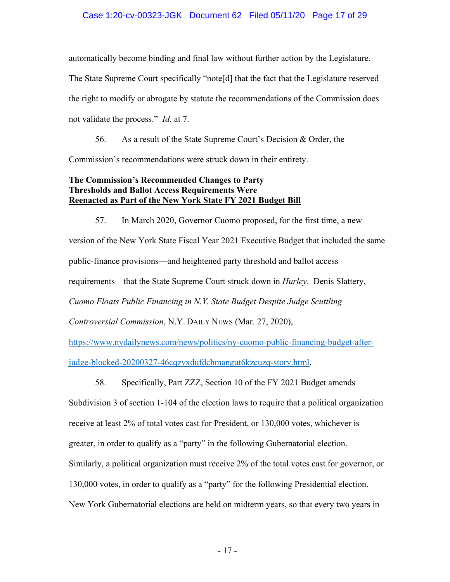### Case 1:20-cv-00323-JGK Document 62 Filed 05/11/20 Page 17 of 29

automatically become binding and final law without further action by the Legislature.

The State Supreme Court specifically "note[d] that the fact that the Legislature reserved the right to modify or abrogate by statute the recommendations of the Commission does not validate the process." *Id*. at 7.

56. As a result of the State Supreme Court's Decision & Order, the Commission's recommendations were struck down in their entirety.

# **The Commission's Recommended Changes to Party Thresholds and Ballot Access Requirements Were Reenacted as Part of the New York State FY 2021 Budget Bill**

57. In March 2020, Governor Cuomo proposed, for the first time, a new version of the New York State Fiscal Year 2021 Executive Budget that included the same public-finance provisions—and heightened party threshold and ballot access requirements—that the State Supreme Court struck down in *Hurley*. Denis Slattery, *Cuomo Floats Public Financing in N.Y. State Budget Despite Judge Scuttling Controversial Commission*, N.Y. DAILY NEWS (Mar. 27, 2020), https://www.nydailynews.com/news/politics/ny-cuomo-public-financing-budget-after-

judge-blocked-20200327-46cqzvxdufdchmangut6kzcuzq-story.html.

58. Specifically, Part ZZZ, Section 10 of the FY 2021 Budget amends

Subdivision 3 of section 1-104 of the election laws to require that a political organization receive at least 2% of total votes cast for President, or 130,000 votes, whichever is greater, in order to qualify as a "party" in the following Gubernatorial election. Similarly, a political organization must receive 2% of the total votes cast for governor, or 130,000 votes, in order to qualify as a "party" for the following Presidential election. New York Gubernatorial elections are held on midterm years, so that every two years in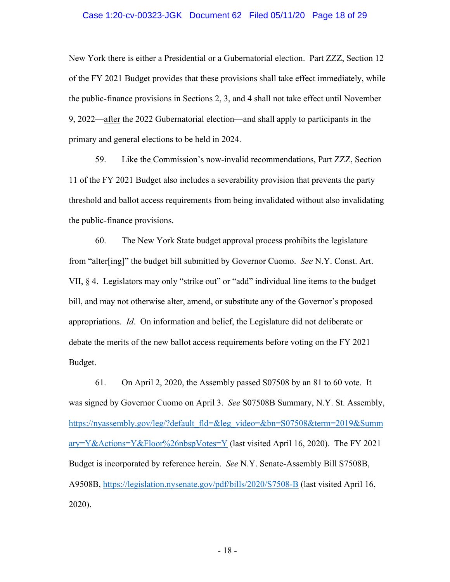### Case 1:20-cv-00323-JGK Document 62 Filed 05/11/20 Page 18 of 29

New York there is either a Presidential or a Gubernatorial election. Part ZZZ, Section 12 of the FY 2021 Budget provides that these provisions shall take effect immediately, while the public-finance provisions in Sections 2, 3, and 4 shall not take effect until November 9, 2022—after the 2022 Gubernatorial election—and shall apply to participants in the primary and general elections to be held in 2024.

59. Like the Commission's now-invalid recommendations, Part ZZZ, Section 11 of the FY 2021 Budget also includes a severability provision that prevents the party threshold and ballot access requirements from being invalidated without also invalidating the public-finance provisions.

60. The New York State budget approval process prohibits the legislature from "alter[ing]" the budget bill submitted by Governor Cuomo. *See* N.Y. Const. Art. VII, § 4. Legislators may only "strike out" or "add" individual line items to the budget bill, and may not otherwise alter, amend, or substitute any of the Governor's proposed appropriations. *Id*. On information and belief, the Legislature did not deliberate or debate the merits of the new ballot access requirements before voting on the FY 2021 Budget.

61. On April 2, 2020, the Assembly passed S07508 by an 81 to 60 vote. It was signed by Governor Cuomo on April 3. *See* S07508B Summary, N.Y. St. Assembly, https://nyassembly.gov/leg/?default\_fld=&leg\_video=&bn=S07508&term=2019&Summ ary=Y&Actions=Y&Floor%26nbspVotes=Y (last visited April 16, 2020). The FY 2021 Budget is incorporated by reference herein. *See* N.Y. Senate-Assembly Bill S7508B, A9508B, https://legislation.nysenate.gov/pdf/bills/2020/S7508-B (last visited April 16, 2020).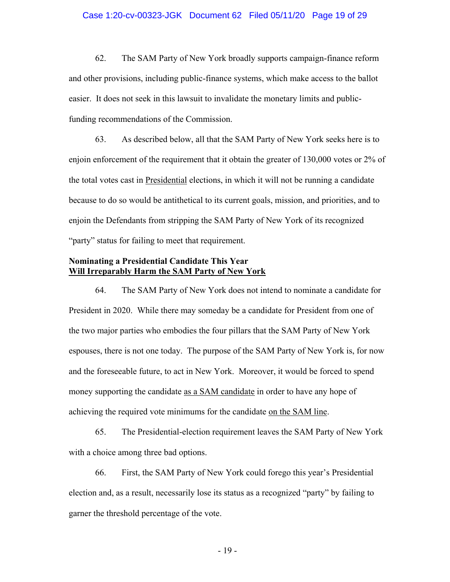### Case 1:20-cv-00323-JGK Document 62 Filed 05/11/20 Page 19 of 29

62. The SAM Party of New York broadly supports campaign-finance reform and other provisions, including public-finance systems, which make access to the ballot easier. It does not seek in this lawsuit to invalidate the monetary limits and publicfunding recommendations of the Commission.

63. As described below, all that the SAM Party of New York seeks here is to enjoin enforcement of the requirement that it obtain the greater of 130,000 votes or 2% of the total votes cast in Presidential elections, in which it will not be running a candidate because to do so would be antithetical to its current goals, mission, and priorities, and to enjoin the Defendants from stripping the SAM Party of New York of its recognized "party" status for failing to meet that requirement.

### **Nominating a Presidential Candidate This Year Will Irreparably Harm the SAM Party of New York**

64. The SAM Party of New York does not intend to nominate a candidate for President in 2020. While there may someday be a candidate for President from one of the two major parties who embodies the four pillars that the SAM Party of New York espouses, there is not one today. The purpose of the SAM Party of New York is, for now and the foreseeable future, to act in New York. Moreover, it would be forced to spend money supporting the candidate as a SAM candidate in order to have any hope of achieving the required vote minimums for the candidate on the SAM line.

65. The Presidential-election requirement leaves the SAM Party of New York with a choice among three bad options.

66. First, the SAM Party of New York could forego this year's Presidential election and, as a result, necessarily lose its status as a recognized "party" by failing to garner the threshold percentage of the vote.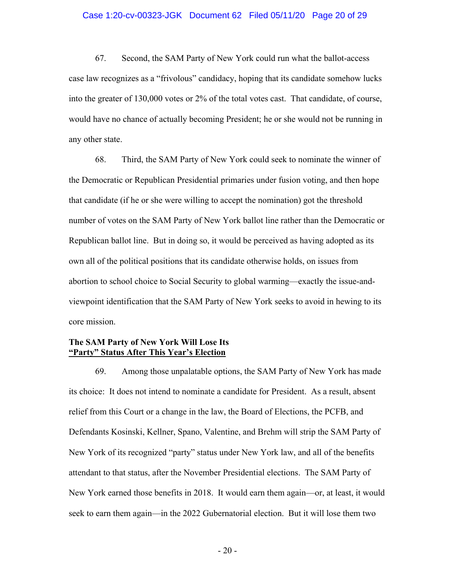### Case 1:20-cv-00323-JGK Document 62 Filed 05/11/20 Page 20 of 29

67. Second, the SAM Party of New York could run what the ballot-access case law recognizes as a "frivolous" candidacy, hoping that its candidate somehow lucks into the greater of 130,000 votes or 2% of the total votes cast. That candidate, of course, would have no chance of actually becoming President; he or she would not be running in any other state.

68. Third, the SAM Party of New York could seek to nominate the winner of the Democratic or Republican Presidential primaries under fusion voting, and then hope that candidate (if he or she were willing to accept the nomination) got the threshold number of votes on the SAM Party of New York ballot line rather than the Democratic or Republican ballot line. But in doing so, it would be perceived as having adopted as its own all of the political positions that its candidate otherwise holds, on issues from abortion to school choice to Social Security to global warming—exactly the issue-andviewpoint identification that the SAM Party of New York seeks to avoid in hewing to its core mission.

### **The SAM Party of New York Will Lose Its "Party" Status After This Year's Election**

69. Among those unpalatable options, the SAM Party of New York has made its choice: It does not intend to nominate a candidate for President. As a result, absent relief from this Court or a change in the law, the Board of Elections, the PCFB, and Defendants Kosinski, Kellner, Spano, Valentine, and Brehm will strip the SAM Party of New York of its recognized "party" status under New York law, and all of the benefits attendant to that status, after the November Presidential elections. The SAM Party of New York earned those benefits in 2018. It would earn them again—or, at least, it would seek to earn them again—in the 2022 Gubernatorial election. But it will lose them two

 $-20-$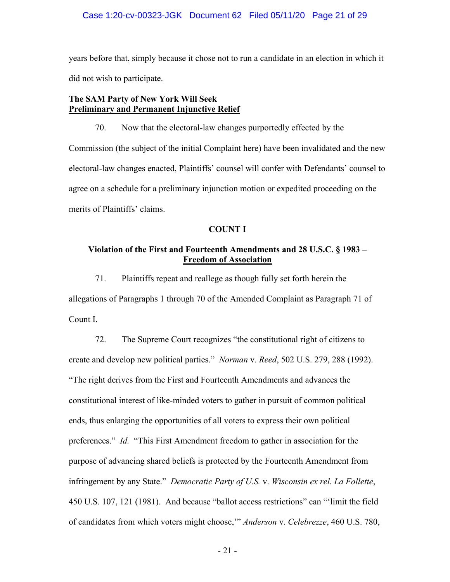### Case 1:20-cv-00323-JGK Document 62 Filed 05/11/20 Page 21 of 29

years before that, simply because it chose not to run a candidate in an election in which it did not wish to participate.

# **The SAM Party of New York Will Seek Preliminary and Permanent Injunctive Relief**

70. Now that the electoral-law changes purportedly effected by the Commission (the subject of the initial Complaint here) have been invalidated and the new electoral-law changes enacted, Plaintiffs' counsel will confer with Defendants' counsel to agree on a schedule for a preliminary injunction motion or expedited proceeding on the merits of Plaintiffs' claims.

### **COUNT I**

# **Violation of the First and Fourteenth Amendments and 28 U.S.C. § 1983 – Freedom of Association**

71. Plaintiffs repeat and reallege as though fully set forth herein the allegations of Paragraphs 1 through 70 of the Amended Complaint as Paragraph 71 of Count I.

72. The Supreme Court recognizes "the constitutional right of citizens to create and develop new political parties." *Norman* v. *Reed*, 502 U.S. 279, 288 (1992). "The right derives from the First and Fourteenth Amendments and advances the constitutional interest of like-minded voters to gather in pursuit of common political ends, thus enlarging the opportunities of all voters to express their own political preferences." *Id.* "This First Amendment freedom to gather in association for the purpose of advancing shared beliefs is protected by the Fourteenth Amendment from infringement by any State." *Democratic Party of U.S.* v. *Wisconsin ex rel. La Follette*, 450 U.S. 107, 121 (1981). And because "ballot access restrictions" can "'limit the field of candidates from which voters might choose,'" *Anderson* v. *Celebrezze*, 460 U.S. 780,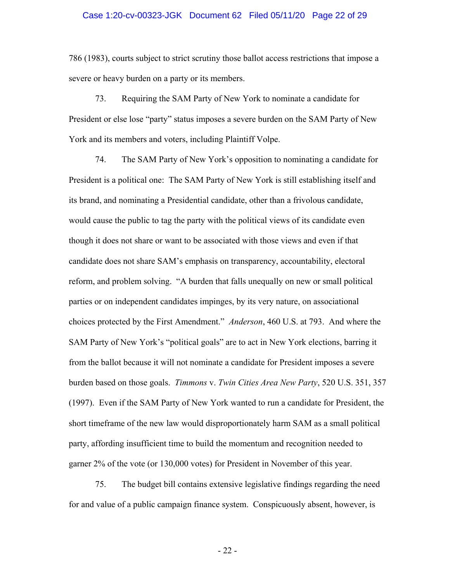# Case 1:20-cv-00323-JGK Document 62 Filed 05/11/20 Page 22 of 29

786 (1983), courts subject to strict scrutiny those ballot access restrictions that impose a severe or heavy burden on a party or its members.

73. Requiring the SAM Party of New York to nominate a candidate for President or else lose "party" status imposes a severe burden on the SAM Party of New York and its members and voters, including Plaintiff Volpe.

74. The SAM Party of New York's opposition to nominating a candidate for President is a political one: The SAM Party of New York is still establishing itself and its brand, and nominating a Presidential candidate, other than a frivolous candidate, would cause the public to tag the party with the political views of its candidate even though it does not share or want to be associated with those views and even if that candidate does not share SAM's emphasis on transparency, accountability, electoral reform, and problem solving. "A burden that falls unequally on new or small political parties or on independent candidates impinges, by its very nature, on associational choices protected by the First Amendment." *Anderson*, 460 U.S. at 793. And where the SAM Party of New York's "political goals" are to act in New York elections, barring it from the ballot because it will not nominate a candidate for President imposes a severe burden based on those goals. *Timmons* v. *Twin Cities Area New Party*, 520 U.S. 351, 357 (1997). Even if the SAM Party of New York wanted to run a candidate for President, the short timeframe of the new law would disproportionately harm SAM as a small political party, affording insufficient time to build the momentum and recognition needed to garner 2% of the vote (or 130,000 votes) for President in November of this year.

75. The budget bill contains extensive legislative findings regarding the need for and value of a public campaign finance system. Conspicuously absent, however, is

- 22 -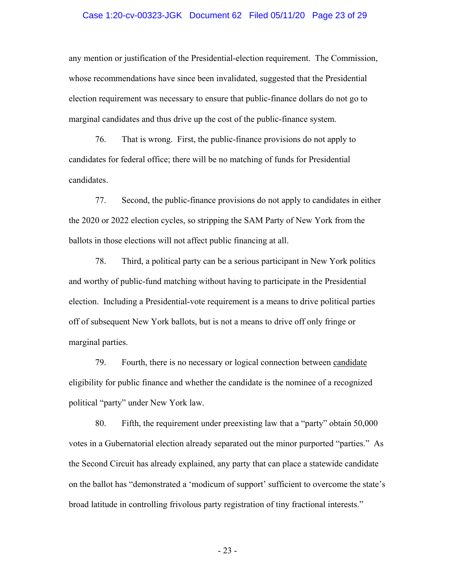### Case 1:20-cv-00323-JGK Document 62 Filed 05/11/20 Page 23 of 29

any mention or justification of the Presidential-election requirement. The Commission, whose recommendations have since been invalidated, suggested that the Presidential election requirement was necessary to ensure that public-finance dollars do not go to marginal candidates and thus drive up the cost of the public-finance system.

76. That is wrong. First, the public-finance provisions do not apply to candidates for federal office; there will be no matching of funds for Presidential candidates.

77. Second, the public-finance provisions do not apply to candidates in either the 2020 or 2022 election cycles, so stripping the SAM Party of New York from the ballots in those elections will not affect public financing at all.

78. Third, a political party can be a serious participant in New York politics and worthy of public-fund matching without having to participate in the Presidential election. Including a Presidential-vote requirement is a means to drive political parties off of subsequent New York ballots, but is not a means to drive off only fringe or marginal parties.

79. Fourth, there is no necessary or logical connection between candidate eligibility for public finance and whether the candidate is the nominee of a recognized political "party" under New York law.

80. Fifth, the requirement under preexisting law that a "party" obtain 50,000 votes in a Gubernatorial election already separated out the minor purported "parties." As the Second Circuit has already explained, any party that can place a statewide candidate on the ballot has "demonstrated a 'modicum of support' sufficient to overcome the state's broad latitude in controlling frivolous party registration of tiny fractional interests."

- 23 -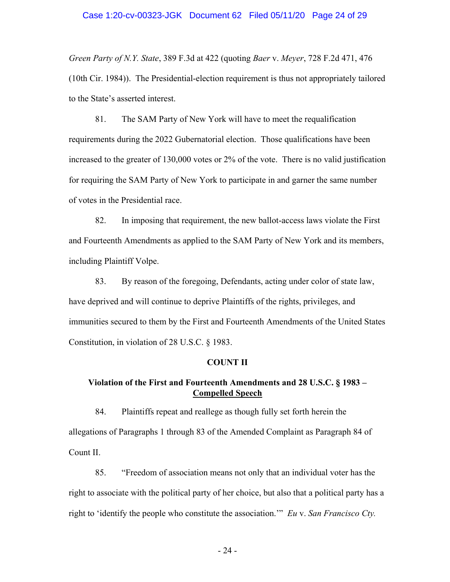### Case 1:20-cv-00323-JGK Document 62 Filed 05/11/20 Page 24 of 29

*Green Party of N.Y. State*, 389 F.3d at 422 (quoting *Baer* v. *Meyer*, 728 F.2d 471, 476 (10th Cir. 1984)). The Presidential-election requirement is thus not appropriately tailored to the State's asserted interest.

81. The SAM Party of New York will have to meet the requalification requirements during the 2022 Gubernatorial election. Those qualifications have been increased to the greater of 130,000 votes or 2% of the vote. There is no valid justification for requiring the SAM Party of New York to participate in and garner the same number of votes in the Presidential race.

82. In imposing that requirement, the new ballot-access laws violate the First and Fourteenth Amendments as applied to the SAM Party of New York and its members, including Plaintiff Volpe.

83. By reason of the foregoing, Defendants, acting under color of state law, have deprived and will continue to deprive Plaintiffs of the rights, privileges, and immunities secured to them by the First and Fourteenth Amendments of the United States Constitution, in violation of 28 U.S.C. § 1983.

#### **COUNT II**

### **Violation of the First and Fourteenth Amendments and 28 U.S.C. § 1983 – Compelled Speech**

84. Plaintiffs repeat and reallege as though fully set forth herein the allegations of Paragraphs 1 through 83 of the Amended Complaint as Paragraph 84 of Count II.

85. "Freedom of association means not only that an individual voter has the right to associate with the political party of her choice, but also that a political party has a right to 'identify the people who constitute the association.'" *Eu* v. *San Francisco Cty.*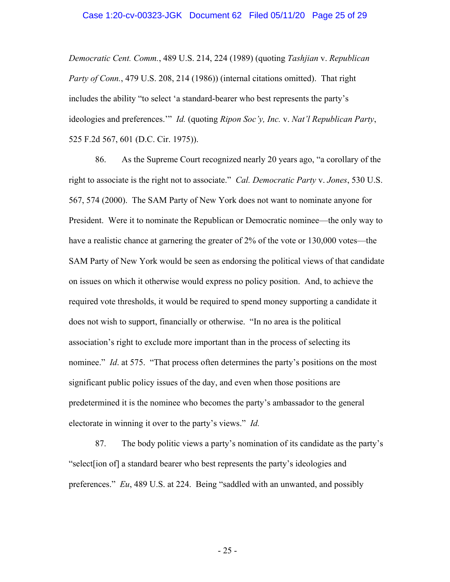*Democratic Cent. Comm.*, 489 U.S. 214, 224 (1989) (quoting *Tashjian* v. *Republican Party of Conn.*, 479 U.S. 208, 214 (1986)) (internal citations omitted). That right includes the ability "to select 'a standard-bearer who best represents the party's ideologies and preferences.'" *Id.* (quoting *Ripon Soc'y, Inc.* v. *Nat'l Republican Party*, 525 F.2d 567, 601 (D.C. Cir. 1975)).

86. As the Supreme Court recognized nearly 20 years ago, "a corollary of the right to associate is the right not to associate." *Cal. Democratic Party* v. *Jones*, 530 U.S. 567, 574 (2000). The SAM Party of New York does not want to nominate anyone for President. Were it to nominate the Republican or Democratic nominee—the only way to have a realistic chance at garnering the greater of 2% of the vote or 130,000 votes—the SAM Party of New York would be seen as endorsing the political views of that candidate on issues on which it otherwise would express no policy position. And, to achieve the required vote thresholds, it would be required to spend money supporting a candidate it does not wish to support, financially or otherwise. "In no area is the political association's right to exclude more important than in the process of selecting its nominee." *Id*. at 575. "That process often determines the party's positions on the most significant public policy issues of the day, and even when those positions are predetermined it is the nominee who becomes the party's ambassador to the general electorate in winning it over to the party's views." *Id.*

87. The body politic views a party's nomination of its candidate as the party's "select[ion of] a standard bearer who best represents the party's ideologies and preferences." *Eu*, 489 U.S. at 224. Being "saddled with an unwanted, and possibly

- 25 -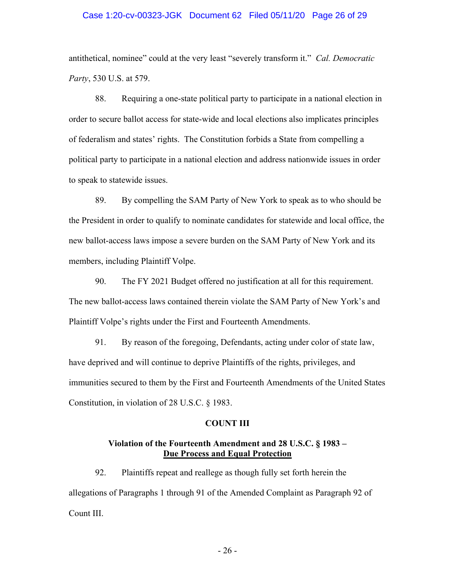### Case 1:20-cv-00323-JGK Document 62 Filed 05/11/20 Page 26 of 29

antithetical, nominee" could at the very least "severely transform it." *Cal. Democratic Party*, 530 U.S. at 579.

88. Requiring a one-state political party to participate in a national election in order to secure ballot access for state-wide and local elections also implicates principles of federalism and states' rights. The Constitution forbids a State from compelling a political party to participate in a national election and address nationwide issues in order to speak to statewide issues.

89. By compelling the SAM Party of New York to speak as to who should be the President in order to qualify to nominate candidates for statewide and local office, the new ballot-access laws impose a severe burden on the SAM Party of New York and its members, including Plaintiff Volpe.

90. The FY 2021 Budget offered no justification at all for this requirement. The new ballot-access laws contained therein violate the SAM Party of New York's and Plaintiff Volpe's rights under the First and Fourteenth Amendments.

91. By reason of the foregoing, Defendants, acting under color of state law, have deprived and will continue to deprive Plaintiffs of the rights, privileges, and immunities secured to them by the First and Fourteenth Amendments of the United States Constitution, in violation of 28 U.S.C. § 1983.

#### **COUNT III**

### **Violation of the Fourteenth Amendment and 28 U.S.C. § 1983 – Due Process and Equal Protection**

92. Plaintiffs repeat and reallege as though fully set forth herein the allegations of Paragraphs 1 through 91 of the Amended Complaint as Paragraph 92 of Count III.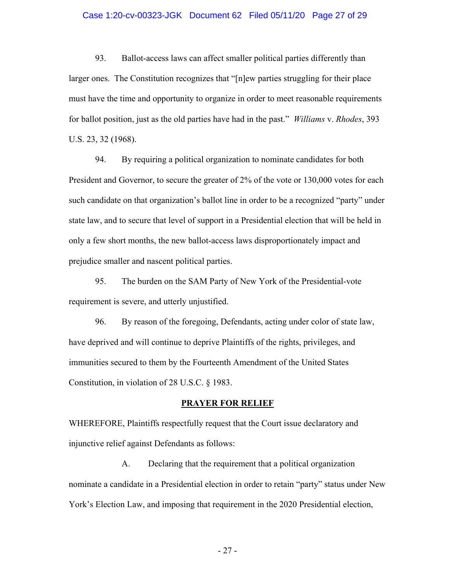### Case 1:20-cv-00323-JGK Document 62 Filed 05/11/20 Page 27 of 29

93. Ballot-access laws can affect smaller political parties differently than larger ones. The Constitution recognizes that "[n]ew parties struggling for their place must have the time and opportunity to organize in order to meet reasonable requirements for ballot position, just as the old parties have had in the past." *Williams* v. *Rhodes*, 393 U.S. 23, 32 (1968).

94. By requiring a political organization to nominate candidates for both President and Governor, to secure the greater of 2% of the vote or 130,000 votes for each such candidate on that organization's ballot line in order to be a recognized "party" under state law, and to secure that level of support in a Presidential election that will be held in only a few short months, the new ballot-access laws disproportionately impact and prejudice smaller and nascent political parties.

95. The burden on the SAM Party of New York of the Presidential-vote requirement is severe, and utterly unjustified.

96. By reason of the foregoing, Defendants, acting under color of state law, have deprived and will continue to deprive Plaintiffs of the rights, privileges, and immunities secured to them by the Fourteenth Amendment of the United States Constitution, in violation of 28 U.S.C. § 1983.

#### **PRAYER FOR RELIEF**

WHEREFORE, Plaintiffs respectfully request that the Court issue declaratory and injunctive relief against Defendants as follows:

A. Declaring that the requirement that a political organization nominate a candidate in a Presidential election in order to retain "party" status under New York's Election Law, and imposing that requirement in the 2020 Presidential election,

- 27 -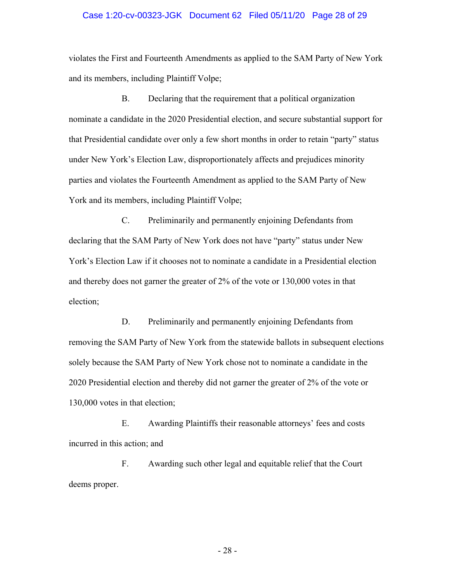### Case 1:20-cv-00323-JGK Document 62 Filed 05/11/20 Page 28 of 29

violates the First and Fourteenth Amendments as applied to the SAM Party of New York and its members, including Plaintiff Volpe;

B. Declaring that the requirement that a political organization nominate a candidate in the 2020 Presidential election, and secure substantial support for that Presidential candidate over only a few short months in order to retain "party" status under New York's Election Law, disproportionately affects and prejudices minority parties and violates the Fourteenth Amendment as applied to the SAM Party of New York and its members, including Plaintiff Volpe;

C. Preliminarily and permanently enjoining Defendants from declaring that the SAM Party of New York does not have "party" status under New York's Election Law if it chooses not to nominate a candidate in a Presidential election and thereby does not garner the greater of 2% of the vote or 130,000 votes in that election;

D. Preliminarily and permanently enjoining Defendants from removing the SAM Party of New York from the statewide ballots in subsequent elections solely because the SAM Party of New York chose not to nominate a candidate in the 2020 Presidential election and thereby did not garner the greater of 2% of the vote or 130,000 votes in that election;

E. Awarding Plaintiffs their reasonable attorneys' fees and costs incurred in this action; and

F. Awarding such other legal and equitable relief that the Court deems proper.